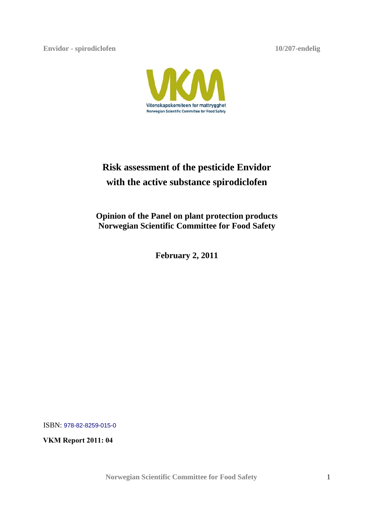**Envidor - spirodiclofen 10/207-endelig**



# **Risk assessment of the pesticide Envidor with the active substance spirodiclofen**

**Opinion of the Panel on plant protection products Norwegian Scientific Committee for Food Safety** 

**February 2, 2011**

ISBN: 978-82-8259-015-0

**VKM Report 2011: 04**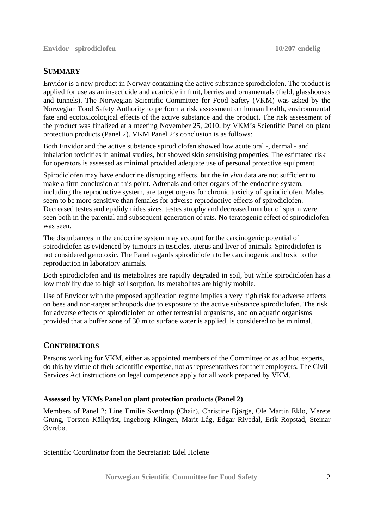# **SUMMARY**

Envidor is a new product in Norway containing the active substance spirodiclofen. The product is applied for use as an insecticide and acaricide in fruit, berries and ornamentals (field, glasshouses and tunnels). The Norwegian Scientific Committee for Food Safety (VKM) was asked by the Norwegian Food Safety Authority to perform a risk assessment on human health, environmental fate and ecotoxicological effects of the active substance and the product. The risk assessment of the product was finalized at a meeting November 25, 2010, by VKM's Scientific Panel on plant protection products (Panel 2). VKM Panel 2's conclusion is as follows:

Both Envidor and the active substance spirodiclofen showed low acute oral -, dermal - and inhalation toxicities in animal studies, but showed skin sensitising properties. The estimated risk for operators is assessed as minimal provided adequate use of personal protective equipment.

Spirodiclofen may have endocrine disrupting effects, but the *in vivo* data are not sufficient to make a firm conclusion at this point. Adrenals and other organs of the endocrine system, including the reproductive system, are target organs for chronic toxicity of spriodiclofen. Males seem to be more sensitive than females for adverse reproductive effects of spirodiclofen. Decreased testes and epididymides sizes, testes atrophy and decreased number of sperm were seen both in the parental and subsequent generation of rats. No teratogenic effect of spirodiclofen was seen.

The disturbances in the endocrine system may account for the carcinogenic potential of spirodiclofen as evidenced by tumours in testicles, uterus and liver of animals. Spirodiclofen is not considered genotoxic. The Panel regards spirodiclofen to be carcinogenic and toxic to the reproduction in laboratory animals.

Both spirodiclofen and its metabolites are rapidly degraded in soil, but while spirodiclofen has a low mobility due to high soil sorption, its metabolites are highly mobile.

Use of Envidor with the proposed application regime implies a very high risk for adverse effects on bees and non-target arthropods due to exposure to the active substance spirodiclofen. The risk for adverse effects of spirodiclofen on other terrestrial organisms, and on aquatic organisms provided that a buffer zone of 30 m to surface water is applied, is considered to be minimal.

# **CONTRIBUTORS**

Persons working for VKM, either as appointed members of the Committee or as ad hoc experts, do this by virtue of their scientific expertise, not as representatives for their employers. The Civil Services Act instructions on legal competence apply for all work prepared by VKM.

# **Assessed by VKMs Panel on plant protection products (Panel 2)**

Members of Panel 2: Line Emilie Sverdrup (Chair), Christine Bjørge, Ole Martin Eklo, Merete Grung, Torsten Källqvist, Ingeborg Klingen, Marit Låg, Edgar Rivedal, Erik Ropstad, Steinar Øvrebø.

Scientific Coordinator from the Secretariat: Edel Holene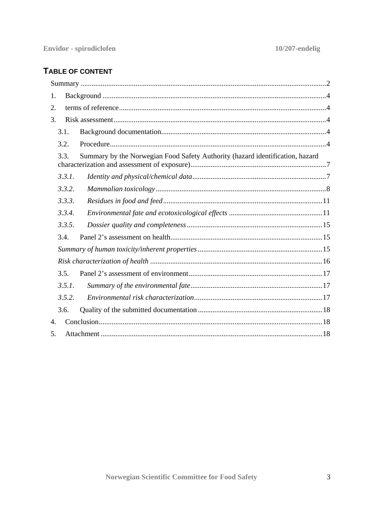# TABLE OF CONTENT

| 1. |                                                                                       |  |  |  |  |
|----|---------------------------------------------------------------------------------------|--|--|--|--|
| 2. |                                                                                       |  |  |  |  |
| 3. |                                                                                       |  |  |  |  |
|    | 3.1.                                                                                  |  |  |  |  |
|    | 3.2.                                                                                  |  |  |  |  |
|    | Summary by the Norwegian Food Safety Authority (hazard identification, hazard<br>3.3. |  |  |  |  |
|    | 3.3.1.                                                                                |  |  |  |  |
|    | 3.3.2.                                                                                |  |  |  |  |
|    | 3.3.3.                                                                                |  |  |  |  |
|    | 3.3.4.                                                                                |  |  |  |  |
|    | 3.3.5.                                                                                |  |  |  |  |
|    | 3.4.                                                                                  |  |  |  |  |
|    |                                                                                       |  |  |  |  |
|    |                                                                                       |  |  |  |  |
|    | 3.5.                                                                                  |  |  |  |  |
|    | 3.5.1.                                                                                |  |  |  |  |
|    | 3.5.2.                                                                                |  |  |  |  |
|    | 3.6.                                                                                  |  |  |  |  |
| 4. |                                                                                       |  |  |  |  |
| 5. |                                                                                       |  |  |  |  |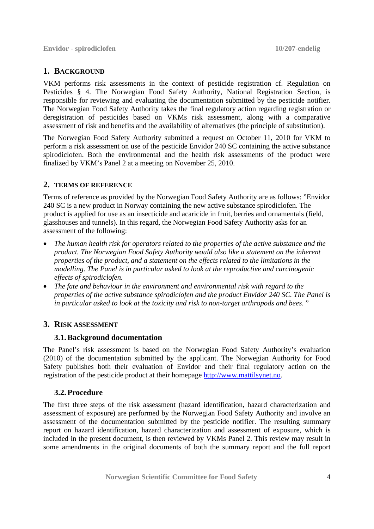**Envidor - spirodiclofen 10/207-endelig**

# **1. BACKGROUND**

VKM performs risk assessments in the context of pesticide registration cf. Regulation on Pesticides § 4. The Norwegian Food Safety Authority, National Registration Section, is responsible for reviewing and evaluating the documentation submitted by the pesticide notifier. The Norwegian Food Safety Authority takes the final regulatory action regarding registration or deregistration of pesticides based on VKMs risk assessment, along with a comparative assessment of risk and benefits and the availability of alternatives (the principle of substitution).

The Norwegian Food Safety Authority submitted a request on October 11, 2010 for VKM to perform a risk assessment on use of the pesticide Envidor 240 SC containing the active substance spirodiclofen. Both the environmental and the health risk assessments of the product were finalized by VKM's Panel 2 at a meeting on November 25, 2010.

# **2. TERMS OF REFERENCE**

Terms of reference as provided by the Norwegian Food Safety Authority are as follows: "Envidor 240 SC is a new product in Norway containing the new active substance spirodiclofen. The product is applied for use as an insecticide and acaricide in fruit, berries and ornamentals (field, glasshouses and tunnels). In this regard, the Norwegian Food Safety Authority asks for an assessment of the following:

- *The human health risk for operators related to the properties of the active substance and the product. The Norwegian Food Safety Authority would also like a statement on the inherent properties of the product, and a statement on the effects related to the limitations in the modelling. The Panel is in particular asked to look at the reproductive and carcinogenic effects of spirodiclofen.*
- *The fate and behaviour in the environment and environmental risk with regard to the properties of the active substance spirodiclofen and the product Envidor 240 SC. The Panel is in particular asked to look at the toxicity and risk to non-target arthropods and bees*. "

# **3. RISK ASSESSMENT**

# **3.1.Background documentation**

The Panel's risk assessment is based on the Norwegian Food Safety Authority's evaluation (2010) of the documentation submitted by the applicant. The Norwegian Authority for Food Safety publishes both their evaluation of Envidor and their final regulatory action on the registration of the pesticide product at their homepage http://www.mattilsynet.no.

# **3.2.Procedure**

The first three steps of the risk assessment (hazard identification, hazard characterization and assessment of exposure) are performed by the Norwegian Food Safety Authority and involve an assessment of the documentation submitted by the pesticide notifier. The resulting summary report on hazard identification, hazard characterization and assessment of exposure, which is included in the present document, is then reviewed by VKMs Panel 2. This review may result in some amendments in the original documents of both the summary report and the full report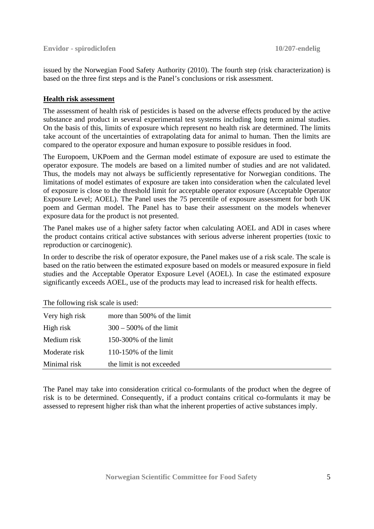issued by the Norwegian Food Safety Authority (2010). The fourth step (risk characterization) is based on the three first steps and is the Panel's conclusions or risk assessment.

# **Health risk assessment**

The assessment of health risk of pesticides is based on the adverse effects produced by the active substance and product in several experimental test systems including long term animal studies. On the basis of this, limits of exposure which represent no health risk are determined. The limits take account of the uncertainties of extrapolating data for animal to human. Then the limits are compared to the operator exposure and human exposure to possible residues in food.

The Europoem, UKPoem and the German model estimate of exposure are used to estimate the operator exposure. The models are based on a limited number of studies and are not validated. Thus, the models may not always be sufficiently representative for Norwegian conditions. The limitations of model estimates of exposure are taken into consideration when the calculated level of exposure is close to the threshold limit for acceptable operator exposure (Acceptable Operator Exposure Level; AOEL). The Panel uses the 75 percentile of exposure assessment for both UK poem and German model. The Panel has to base their assessment on the models whenever exposure data for the product is not presented.

The Panel makes use of a higher safety factor when calculating AOEL and ADI in cases where the product contains critical active substances with serious adverse inherent properties (toxic to reproduction or carcinogenic).

In order to describe the risk of operator exposure, the Panel makes use of a risk scale. The scale is based on the ratio between the estimated exposure based on models or measured exposure in field studies and the Acceptable Operator Exposure Level (AOEL). In case the estimated exposure significantly exceeds AOEL, use of the products may lead to increased risk for health effects.

The following risk scale is used:

| Very high risk | more than 500% of the limit |
|----------------|-----------------------------|
| High risk      | $300 - 500\%$ of the limit  |
| Medium risk    | 150-300% of the limit       |
| Moderate risk  | $110-150\%$ of the limit    |
| Minimal risk   | the limit is not exceeded   |
|                |                             |

The Panel may take into consideration critical co-formulants of the product when the degree of risk is to be determined. Consequently, if a product contains critical co-formulants it may be assessed to represent higher risk than what the inherent properties of active substances imply.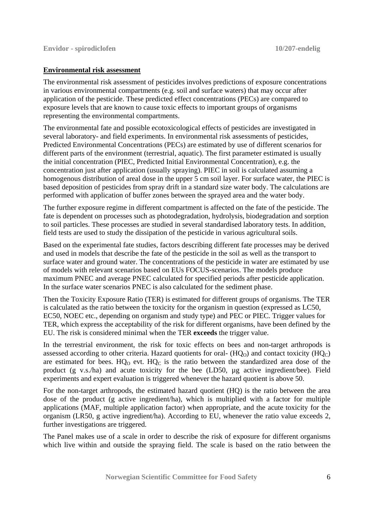# **Environmental risk assessment**

The environmental risk assessment of pesticides involves predictions of exposure concentrations in various environmental compartments (e.g. soil and surface waters) that may occur after application of the pesticide. These predicted effect concentrations (PECs) are compared to exposure levels that are known to cause toxic effects to important groups of organisms representing the environmental compartments.

The environmental fate and possible ecotoxicological effects of pesticides are investigated in several laboratory- and field experiments. In environmental risk assessments of pesticides, Predicted Environmental Concentrations (PECs) are estimated by use of different scenarios for different parts of the environment (terrestrial, aquatic). The first parameter estimated is usually the initial concentration (PIEC, Predicted Initial Environmental Concentration), e.g. the concentration just after application (usually spraying). PIEC in soil is calculated assuming a homogenous distribution of areal dose in the upper 5 cm soil layer. For surface water, the PIEC is based deposition of pesticides from spray drift in a standard size water body. The calculations are performed with application of buffer zones between the sprayed area and the water body.

The further exposure regime in different compartment is affected on the fate of the pesticide. The fate is dependent on processes such as photodegradation, hydrolysis, biodegradation and sorption to soil particles. These processes are studied in several standardised laboratory tests. In addition, field tests are used to study the dissipation of the pesticide in various agricultural soils.

Based on the experimental fate studies, factors describing different fate processes may be derived and used in models that describe the fate of the pesticide in the soil as well as the transport to surface water and ground water. The concentrations of the pesticide in water are estimated by use of models with relevant scenarios based on EUs FOCUS-scenarios. The models produce maximum PNEC and average PNEC calculated for specified periods after pesticide application. In the surface water scenarios PNEC is also calculated for the sediment phase.

Then the Toxicity Exposure Ratio (TER) is estimated for different groups of organisms. The TER is calculated as the ratio between the toxicity for the organism in question (expressed as LC50, EC50, NOEC etc., depending on organism and study type) and PEC or PIEC. Trigger values for TER, which express the acceptability of the risk for different organisms, have been defined by the EU. The risk is considered minimal when the TER **exceeds** the trigger value.

In the terrestrial environment, the risk for toxic effects on bees and non-target arthropods is assessed according to other criteria. Hazard quotients for oral-  $(HQ<sub>O</sub>)$  and contact toxicity  $(HQ<sub>C</sub>)$ are estimated for bees.  $HO_0$  evt.  $HO_0$  is the ratio between the standardized area dose of the product (g v.s./ha) and acute toxicity for the bee (LD50, µg active ingredient/bee). Field experiments and expert evaluation is triggered whenever the hazard quotient is above 50.

For the non-target arthropods, the estimated hazard quotient (HQ) is the ratio between the area dose of the product (g active ingredient/ha), which is multiplied with a factor for multiple applications (MAF, multiple application factor) when appropriate, and the acute toxicity for the organism (LR50, g active ingredient/ha). According to EU, whenever the ratio value exceeds 2, further investigations are triggered.

The Panel makes use of a scale in order to describe the risk of exposure for different organisms which live within and outside the spraying field. The scale is based on the ratio between the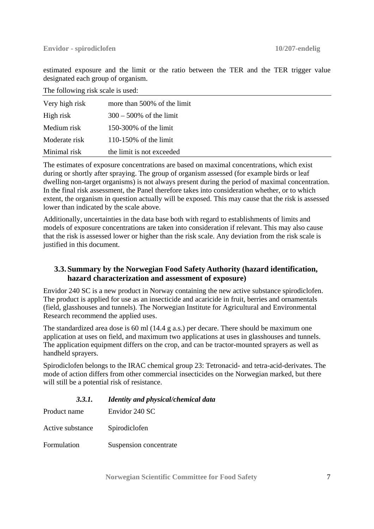estimated exposure and the limit or the ratio between the TER and the TER trigger value designated each group of organism.

The following risk scale is used:

| Very high risk | more than 500% of the limit |
|----------------|-----------------------------|
| High risk      | $300 - 500\%$ of the limit  |
| Medium risk    | $150-300\%$ of the limit    |
| Moderate risk  | $110-150\%$ of the limit    |
| Minimal risk   | the limit is not exceeded   |

The estimates of exposure concentrations are based on maximal concentrations, which exist during or shortly after spraying. The group of organism assessed (for example birds or leaf dwelling non-target organisms) is not always present during the period of maximal concentration. In the final risk assessment, the Panel therefore takes into consideration whether, or to which extent, the organism in question actually will be exposed. This may cause that the risk is assessed lower than indicated by the scale above.

Additionally, uncertainties in the data base both with regard to establishments of limits and models of exposure concentrations are taken into consideration if relevant. This may also cause that the risk is assessed lower or higher than the risk scale. Any deviation from the risk scale is justified in this document.

# **3.3. Summary by the Norwegian Food Safety Authority (hazard identification, hazard characterization and assessment of exposure)**

Envidor 240 SC is a new product in Norway containing the new active substance spirodiclofen. The product is applied for use as an insecticide and acaricide in fruit, berries and ornamentals (field, glasshouses and tunnels). The Norwegian Institute for Agricultural and Environmental Research recommend the applied uses.

The standardized area dose is 60 ml (14.4 g a.s.) per decare. There should be maximum one application at uses on field, and maximum two applications at uses in glasshouses and tunnels. The application equipment differs on the crop, and can be tractor-mounted sprayers as well as handheld sprayers.

Spirodiclofen belongs to the IRAC chemical group 23: Tetronacid- and tetra-acid-derivates. The mode of action differs from other commercial insecticides on the Norwegian marked, but there will still be a potential risk of resistance.

| 3.3.1.           | <b>Identity and physical/chemical data</b> |
|------------------|--------------------------------------------|
| Product name     | Envidor 240 SC                             |
| Active substance | Spirodiclofen                              |
| Formulation      | Suspension concentrate                     |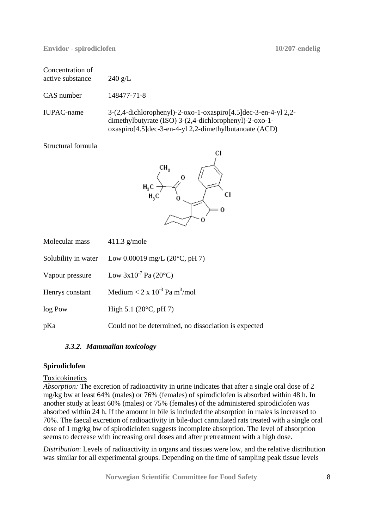| Concentration of<br>active substance | $240 \text{ g/L}$                                                                                                                                                                  |
|--------------------------------------|------------------------------------------------------------------------------------------------------------------------------------------------------------------------------------|
| CAS number                           | 148477-71-8                                                                                                                                                                        |
| IUPAC-name                           | 3-(2,4-dichlorophenyl)-2-oxo-1-oxaspiro[4.5]dec-3-en-4-yl 2,2-<br>dimethylbutyrate (ISO) 3-(2,4-dichlorophenyl)-2-oxo-1-<br>oxaspiro[4.5]dec-3-en-4-yl 2,2-dimethylbutanoate (ACD) |

Structural formula



| Molecular mass      | $411.3$ g/mole                                       |
|---------------------|------------------------------------------------------|
| Solubility in water | Low 0.00019 mg/L $(20^{\circ}C, pH 7)$               |
| Vapour pressure     | Low $3x10^7$ Pa (20°C)                               |
| Henrys constant     | Medium < $2 \times 10^{-3}$ Pa m <sup>3</sup> /mol   |
| log Pow             | High 5.1 $(20^{\circ}C, pH 7)$                       |
| pKa                 | Could not be determined, no dissociation is expected |

# *3.3.2. Mammalian toxicology*

# **Spirodiclofen**

# Toxicokinetics

*Absorption:* The excretion of radioactivity in urine indicates that after a single oral dose of 2 mg/kg bw at least 64% (males) or 76% (females) of spirodiclofen is absorbed within 48 h. In another study at least 60% (males) or 75% (females) of the administered spirodiclofen was absorbed within 24 h. If the amount in bile is included the absorption in males is increased to 70%. The faecal excretion of radioactivity in bile-duct cannulated rats treated with a single oral dose of 1 mg/kg bw of spirodiclofen suggests incomplete absorption. The level of absorption seems to decrease with increasing oral doses and after pretreatment with a high dose.

*Distribution*: Levels of radioactivity in organs and tissues were low, and the relative distribution was similar for all experimental groups. Depending on the time of sampling peak tissue levels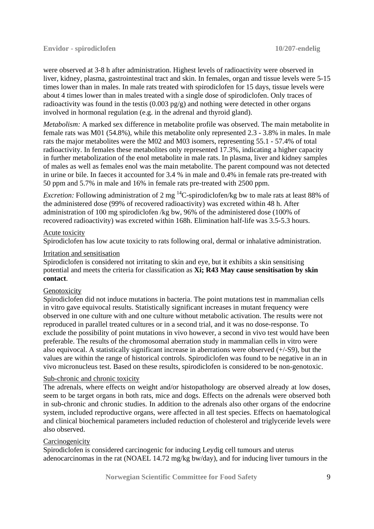were observed at 3-8 h after administration. Highest levels of radioactivity were observed in liver, kidney, plasma, gastrointestinal tract and skin. In females, organ and tissue levels were 5-15 times lower than in males. In male rats treated with spirodiclofen for 15 days, tissue levels were about 4 times lower than in males treated with a single dose of spirodiclofen. Only traces of radioactivity was found in the testis (0.003 pg/g) and nothing were detected in other organs involved in hormonal regulation (e.g. in the adrenal and thyroid gland).

*Metabolism:* A marked sex difference in metabolite profile was observed. The main metabolite in female rats was M01 (54.8%), while this metabolite only represented 2.3 - 3.8% in males. In male rats the major metabolites were the M02 and M03 isomers, representing 55.1 - 57.4% of total radioactivity. In females these metabolites only represented 17.3%, indicating a higher capacity in further metabolization of the enol metabolite in male rats. In plasma, liver and kidney samples of males as well as females enol was the main metabolite. The parent compound was not detected in urine or bile. In faeces it accounted for 3.4 % in male and 0.4% in female rats pre-treated with 50 ppm and 5.7% in male and 16% in female rats pre-treated with 2500 ppm.

*Excretion:* Following administration of 2 mg <sup>14</sup>C-spirodiclofen/kg bw to male rats at least 88% of the administered dose (99% of recovered radioactivity) was excreted within 48 h. After administration of 100 mg spirodiclofen /kg bw, 96% of the administered dose (100% of recovered radioactivity) was excreted within 168h. Elimination half-life was 3.5-5.3 hours.

#### Acute toxicity

Spirodiclofen has low acute toxicity to rats following oral, dermal or inhalative administration.

#### Irritation and sensitisation

Spirodiclofen is considered not irritating to skin and eye, but it exhibits a skin sensitising potential and meets the criteria for classification as **Xi; R43 May cause sensitisation by skin contact**.

# Genotoxicity

Spirodiclofen did not induce mutations in bacteria. The point mutations test in mammalian cells in vitro gave equivocal results. Statistically significant increases in mutant frequency were observed in one culture with and one culture without metabolic activation. The results were not reproduced in parallel treated cultures or in a second trial, and it was no dose-response. To exclude the possibility of point mutations in vivo however, a second in vivo test would have been preferable. The results of the chromosomal aberration study in mammalian cells in vitro were also equivocal. A statistically significant increase in aberrations were observed (+/-S9), but the values are within the range of historical controls. Spirodiclofen was found to be negative in an in vivo micronucleus test. Based on these results, spirodiclofen is considered to be non-genotoxic.

# Sub-chronic and chronic toxicity

The adrenals, where effects on weight and/or histopathology are observed already at low doses, seem to be target organs in both rats, mice and dogs. Effects on the adrenals were observed both in sub-chronic and chronic studies. In addition to the adrenals also other organs of the endocrine system, included reproductive organs, were affected in all test species. Effects on haematological and clinical biochemical parameters included reduction of cholesterol and triglyceride levels were also observed.

# **Carcinogenicity**

Spirodiclofen is considered carcinogenic for inducing Leydig cell tumours and uterus adenocarcinomas in the rat (NOAEL 14.72 mg/kg bw/day), and for inducing liver tumours in the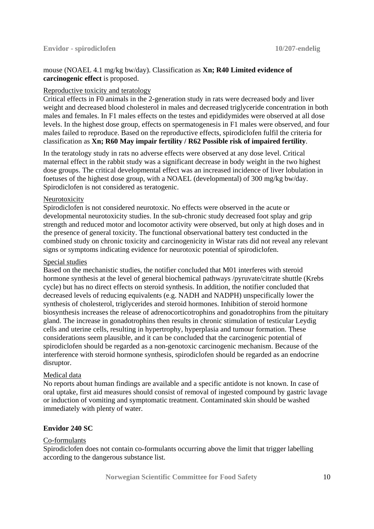# mouse (NOAEL 4.1 mg/kg bw/day). Classification as **Xn; R40 Limited evidence of carcinogenic effect** is proposed.

# Reproductive toxicity and teratology

Critical effects in F0 animals in the 2-generation study in rats were decreased body and liver weight and decreased blood cholesterol in males and decreased triglyceride concentration in both males and females. In F1 males effects on the testes and epididymides were observed at all dose levels. In the highest dose group, effects on spermatogenesis in F1 males were observed, and four males failed to reproduce. Based on the reproductive effects, spirodiclofen fulfil the criteria for classification as **Xn; R60 May impair fertility / R62 Possible risk of impaired fertility**.

In the teratology study in rats no adverse effects were observed at any dose level. Critical maternal effect in the rabbit study was a significant decrease in body weight in the two highest dose groups. The critical developmental effect was an increased incidence of liver lobulation in foetuses of the highest dose group, with a NOAEL (developmental) of 300 mg/kg bw/day. Spirodiclofen is not considered as teratogenic.

# Neurotoxicity

Spirodiclofen is not considered neurotoxic. No effects were observed in the acute or developmental neurotoxicity studies. In the sub-chronic study decreased foot splay and grip strength and reduced motor and locomotor activity were observed, but only at high doses and in the presence of general toxicity. The functional observational battery test conducted in the combined study on chronic toxicity and carcinogenicity in Wistar rats did not reveal any relevant signs or symptoms indicating evidence for neurotoxic potential of spirodiclofen.

# Special studies

Based on the mechanistic studies, the notifier concluded that M01 interferes with steroid hormone synthesis at the level of general biochemical pathways /pyruvate/citrate shuttle (Krebs cycle) but has no direct effects on steroid synthesis. In addition, the notifier concluded that decreased levels of reducing equivalents (e.g. NADH and NADPH) unspecifically lower the synthesis of cholesterol, triglycerides and steroid hormones. Inhibition of steroid hormone biosynthesis increases the release of adrenocorticotrophins and gonadotrophins from the pituitary gland. The increase in gonadotrophins then results in chronic stimulation of testicular Leydig cells and uterine cells, resulting in hypertrophy, hyperplasia and tumour formation. These considerations seem plausible, and it can be concluded that the carcinogenic potential of spirodiclofen should be regarded as a non-genotoxic carcinogenic mechanism. Because of the interference with steroid hormone synthesis, spirodiclofen should be regarded as an endocrine disruptor.

# Medical data

No reports about human findings are available and a specific antidote is not known. In case of oral uptake, first aid measures should consist of removal of ingested compound by gastric lavage or induction of vomiting and symptomatic treatment. Contaminated skin should be washed immediately with plenty of water.

# **Envidor 240 SC**

# Co-formulants

Spirodiclofen does not contain co-formulants occurring above the limit that trigger labelling according to the dangerous substance list.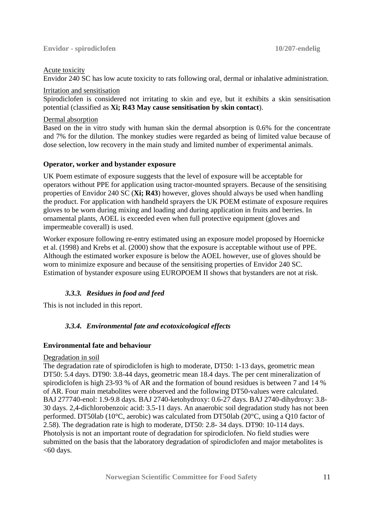#### Acute toxicity

Envidor 240 SC has low acute toxicity to rats following oral, dermal or inhalative administration.

#### Irritation and sensitisation

Spirodiclofen is considered not irritating to skin and eye, but it exhibits a skin sensitisation potential (classified as **Xi; R43 May cause sensitisation by skin contact**).

#### Dermal absorption

Based on the in vitro study with human skin the dermal absorption is 0.6% for the concentrate and 7% for the dilution. The monkey studies were regarded as being of limited value because of dose selection, low recovery in the main study and limited number of experimental animals.

# **Operator, worker and bystander exposure**

UK Poem estimate of exposure suggests that the level of exposure will be acceptable for operators without PPE for application using tractor-mounted sprayers. Because of the sensitising properties of Envidor 240 SC (**Xi; R43**) however, gloves should always be used when handling the product. For application with handheld sprayers the UK POEM estimate of exposure requires gloves to be worn during mixing and loading and during application in fruits and berries. In ornamental plants, AOEL is exceeded even when full protective equipment (gloves and impermeable coverall) is used.

Worker exposure following re-entry estimated using an exposure model proposed by Hoernicke et al. (1998) and Krebs et al. (2000) show that the exposure is acceptable without use of PPE. Although the estimated worker exposure is below the AOEL however, use of gloves should be worn to minimize exposure and because of the sensitising properties of Envidor 240 SC. Estimation of bystander exposure using EUROPOEM II shows that bystanders are not at risk.

# *3.3.3. Residues in food and feed*

This is not included in this report.

# *3.3.4. Environmental fate and ecotoxicological effects*

# **Environmental fate and behaviour**

# Degradation in soil

The degradation rate of spirodiclofen is high to moderate, DT50: 1-13 days, geometric mean DT50: 5.4 days. DT90: 3.8-44 days, geometric mean 18.4 days. The per cent mineralization of spirodiclofen is high 23-93 % of AR and the formation of bound residues is between 7 and 14 % of AR. Four main metabolites were observed and the following DT50-values were calculated. BAJ 277740-enol: 1.9-9.8 days. BAJ 2740-ketohydroxy: 0.6-27 days. BAJ 2740-dihydroxy: 3.8- 30 days. 2,4-dichlorobenzoic acid: 3.5-11 days. An anaerobic soil degradation study has not been performed. DT50lab (10°C, aerobic) was calculated from DT50lab (20°C, using a Q10 factor of 2.58). The degradation rate is high to moderate, DT50: 2.8- 34 days. DT90: 10-114 days. Photolysis is not an important route of degradation for spirodiclofen. No field studies were submitted on the basis that the laboratory degradation of spirodiclofen and major metabolites is  $<$ 60 days.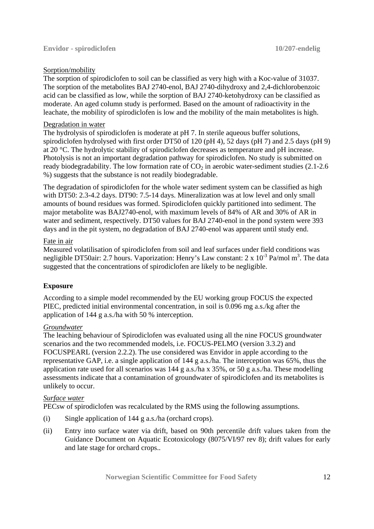#### Sorption/mobility

The sorption of spirodiclofen to soil can be classified as very high with a Koc-value of 31037. The sorption of the metabolites BAJ 2740-enol, BAJ 2740-dihydroxy and 2,4-dichlorobenzoic acid can be classified as low, while the sorption of BAJ 2740-ketohydroxy can be classified as moderate. An aged column study is performed. Based on the amount of radioactivity in the leachate, the mobility of spirodiclofen is low and the mobility of the main metabolites is high.

#### Degradation in water

The hydrolysis of spirodiclofen is moderate at pH 7. In sterile aqueous buffer solutions, spirodiclofen hydrolysed with first order DT50 of 120 (pH 4), 52 days (pH 7) and 2.5 days (pH 9) at 20 °C. The hydrolytic stability of spirodiclofen decreases as temperature and pH increase. Photolysis is not an important degradation pathway for spirodiclofen. No study is submitted on ready biodegradability. The low formation rate of  $CO<sub>2</sub>$  in aerobic water-sediment studies (2.1-2.6) %) suggests that the substance is not readily biodegradable.

The degradation of spirodiclofen for the whole water sediment system can be classified as high with DT50: 2.3-4.2 days. DT90: 7.5-14 days. Mineralization was at low level and only small amounts of bound residues was formed. Spirodiclofen quickly partitioned into sediment. The major metabolite was BAJ2740-enol, with maximum levels of 84% of AR and 30% of AR in water and sediment, respectively. DT50 values for BAJ 2740-enol in the pond system were 393 days and in the pit system, no degradation of BAJ 2740-enol was apparent until study end.

#### Fate in air

Measured volatilisation of spirodiclofen from soil and leaf surfaces under field conditions was negligible DT50air: 2.7 hours. Vaporization: Henry's Law constant: 2 x  $10^{-3}$  Pa/mol m<sup>3</sup>. The data suggested that the concentrations of spirodiclofen are likely to be negligible.

# **Exposure**

According to a simple model recommended by the EU working group FOCUS the expected PIEC, predicted initial environmental concentration, in soil is 0.096 mg a.s./kg after the application of 144 g a.s./ha with 50 % interception.

# *Groundwater*

The leaching behaviour of Spirodiclofen was evaluated using all the nine FOCUS groundwater scenarios and the two recommended models, i.e. FOCUS-PELMO (version 3.3.2) and FOCUSPEARL (version 2.2.2). The use considered was Envidor in apple according to the representative GAP, i.e. a single application of 144 g a.s./ha. The interception was 65%, thus the application rate used for all scenarios was 144 g a.s./ha x 35%, or 50 g a.s./ha. These modelling assessments indicate that a contamination of groundwater of spirodiclofen and its metabolites is unlikely to occur.

# *Surface water*

PECsw of spirodiclofen was recalculated by the RMS using the following assumptions.

- (i) Single application of 144 g a.s./ha (orchard crops).
- (ii) Entry into surface water via drift, based on 90th percentile drift values taken from the Guidance Document on Aquatic Ecotoxicology (8075/VI/97 rev 8); drift values for early and late stage for orchard crops..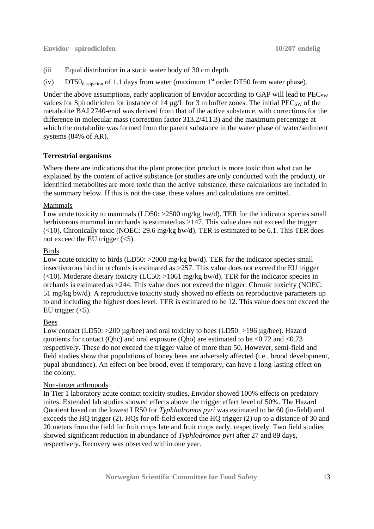#### **Envidor - spirodiclofen 10/207-endelig**

- (iii Equal distribution in a static water body of 30 cm depth.
- (iv) DT50 $_{\text{dissipation}}$  of 1.1 days from water (maximum 1<sup>st</sup> order DT50 from water phase).

Under the above assumptions, early application of Envidor according to GAP will lead to  $PEC_{SW}$ values for Spirodiclofen for instance of 14  $\mu$ g/L for 3 m buffer zones. The initial PEC<sub>SW</sub> of the metabolite BAJ 2740-enol was derived from that of the active substance, with corrections for the difference in molecular mass (correction factor 313.2/411.3) and the maximum percentage at which the metabolite was formed from the parent substance in the water phase of water/sediment systems (84% of AR).

# **Terrestrial organisms**

Where there are indications that the plant protection product is more toxic than what can be explained by the content of active substance (or studies are only conducted with the product), or identified metabolites are more toxic than the active substance, these calculations are included in the summary below. If this is not the case, these values and calculations are omitted.

# Mammals

Low acute toxicity to mammals (LD50: >2500 mg/kg bw/d). TER for the indicator species small herbivorous mammal in orchards is estimated as >147. This value does not exceed the trigger (<10). Chronically toxic (NOEC: 29.6 mg/kg bw/d). TER is estimated to be 6.1. This TER does not exceed the EU trigger  $(<5)$ .

# Birds

Low acute toxicity to birds (LD50: >2000 mg/kg bw/d). TER for the indicator species small insectivorous bird in orchards is estimated as >257. This value does not exceed the EU trigger ( $<$ 10). Moderate dietary toxicity (LC50:  $>$ 1061 mg/kg bw/d). TER for the indicator species in orchards is estimated as >244. This value does not exceed the trigger. Chronic toxicity (NOEC: 51 mg/kg bw/d). A reproductive toxicity study showed no effects on reproductive parameters up to and including the highest does level. TER is estimated to be 12. This value does not exceed the EU trigger  $(<5)$ .

# Bees

Low contact (LD50: >200 µg/bee) and oral toxicity to bees (LD50: >196 µg/bee). Hazard quotients for contact (Qhc) and oral exposure (Qho) are estimated to be  $\langle 0.72 \text{ and } \langle 0.73 \rangle$ respectively. These do not exceed the trigger value of more than 50. However, semi-field and field studies show that populations of honey bees are adversely affected (i.e., brood development, pupal abundance). An effect on bee brood, even if temporary, can have a long-lasting effect on the colony.

# Non-target arthropods

In Tier 1 laboratory acute contact toxicity studies, Envidor showed 100% effects on predatory mites. Extended lab studies showed effects above the trigger effect level of 50%. The Hazard Quotient based on the lowest LR50 for *Typhlodromos pyri* was estimated to be 60 (in-field) and exceeds the HQ trigger (2). HQs for off-field exceed the HQ trigger (2) up to a distance of 30 and 20 meters from the field for fruit crops late and fruit crops early, respectively. Two field studies showed significant reduction in abundance of *Typhlodromos pyri* after 27 and 89 days, respectively. Recovery was observed within one year.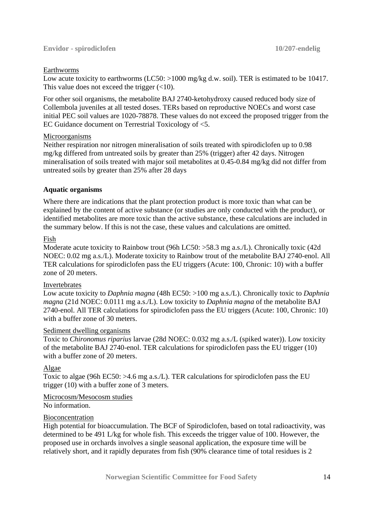# Earthworms

Low acute toxicity to earthworms (LC50: >1000 mg/kg d.w. soil). TER is estimated to be 10417. This value does not exceed the trigger  $(<10$ ).

For other soil organisms, the metabolite BAJ 2740-ketohydroxy caused reduced body size of Collembola juveniles at all tested doses. TERs based on reproductive NOECs and worst case initial PEC soil values are 1020-78878. These values do not exceed the proposed trigger from the EC Guidance document on Terrestrial Toxicology of <5.

# Microorganisms

Neither respiration nor nitrogen mineralisation of soils treated with spirodiclofen up to 0.98 mg/kg differed from untreated soils by greater than 25% (trigger) after 42 days. Nitrogen mineralisation of soils treated with major soil metabolites at 0.45-0.84 mg/kg did not differ from untreated soils by greater than 25% after 28 days

# **Aquatic organisms**

Where there are indications that the plant protection product is more toxic than what can be explained by the content of active substance (or studies are only conducted with the product), or identified metabolites are more toxic than the active substance, these calculations are included in the summary below. If this is not the case, these values and calculations are omitted.

# Fish

Moderate acute toxicity to Rainbow trout (96h LC50: >58.3 mg a.s./L). Chronically toxic (42d) NOEC: 0.02 mg a.s./L). Moderate toxicity to Rainbow trout of the metabolite BAJ 2740-enol. All TER calculations for spirodiclofen pass the EU triggers (Acute: 100, Chronic: 10) with a buffer zone of 20 meters.

# Invertebrates

Low acute toxicity to *Daphnia magna* (48h EC50: >100 mg a.s./L). Chronically toxic to *Daphnia magna* (21d NOEC: 0.0111 mg a.s./L). Low toxicity to *Daphnia magna* of the metabolite BAJ 2740-enol. All TER calculations for spirodiclofen pass the EU triggers (Acute: 100, Chronic: 10) with a buffer zone of 30 meters.

# Sediment dwelling organisms

Toxic to *Chironomus riparius* larvae (28d NOEC: 0.032 mg a.s./L (spiked water)). Low toxicity of the metabolite BAJ 2740-enol. TER calculations for spirodiclofen pass the EU trigger (10) with a buffer zone of 20 meters.

# Algae

Toxic to algae (96h EC50: >4.6 mg a.s./L). TER calculations for spirodiclofen pass the EU trigger (10) with a buffer zone of 3 meters.

# Microcosm/Mesocosm studies

No information.

# Bioconcentration

High potential for bioaccumulation. The BCF of Spirodiclofen, based on total radioactivity, was determined to be 491 L/kg for whole fish. This exceeds the trigger value of 100. However, the proposed use in orchards involves a single seasonal application, the exposure time will be relatively short, and it rapidly depurates from fish (90% clearance time of total residues is 2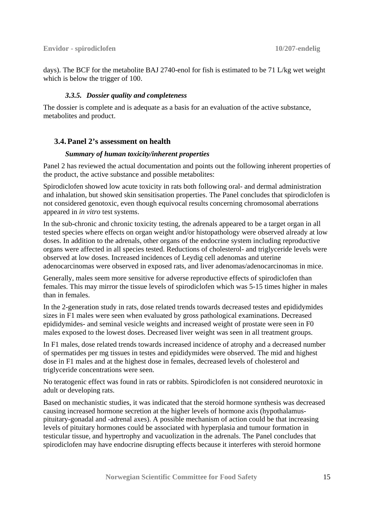days). The BCF for the metabolite BAJ 2740-enol for fish is estimated to be 71 L/kg wet weight which is below the trigger of 100.

# *3.3.5. Dossier quality and completeness*

The dossier is complete and is adequate as a basis for an evaluation of the active substance, metabolites and product.

# **3.4.Panel 2's assessment on health**

#### *Summary of human toxicity/inherent properties*

Panel 2 has reviewed the actual documentation and points out the following inherent properties of the product, the active substance and possible metabolites:

Spirodiclofen showed low acute toxicity in rats both following oral- and dermal administration and inhalation, but showed skin sensitisation properties. The Panel concludes that spirodiclofen is not considered genotoxic, even though equivocal results concerning chromosomal aberrations appeared in *in vitro* test systems.

In the sub-chronic and chronic toxicity testing, the adrenals appeared to be a target organ in all tested species where effects on organ weight and/or histopathology were observed already at low doses. In addition to the adrenals, other organs of the endocrine system including reproductive organs were affected in all species tested. Reductions of cholesterol- and triglyceride levels were observed at low doses. Increased incidences of Leydig cell adenomas and uterine adenocarcinomas were observed in exposed rats, and liver adenomas/adenocarcinomas in mice.

Generally, males seem more sensitive for adverse reproductive effects of spirodiclofen than females. This may mirror the tissue levels of spirodiclofen which was 5-15 times higher in males than in females.

In the 2-generation study in rats, dose related trends towards decreased testes and epididymides sizes in F1 males were seen when evaluated by gross pathological examinations. Decreased epididymides- and seminal vesicle weights and increased weight of prostate were seen in F0 males exposed to the lowest doses. Decreased liver weight was seen in all treatment groups.

In F1 males, dose related trends towards increased incidence of atrophy and a decreased number of spermatides per mg tissues in testes and epididymides were observed. The mid and highest dose in F1 males and at the highest dose in females, decreased levels of cholesterol and triglyceride concentrations were seen.

No teratogenic effect was found in rats or rabbits. Spirodiclofen is not considered neurotoxic in adult or developing rats.

Based on mechanistic studies, it was indicated that the steroid hormone synthesis was decreased causing increased hormone secretion at the higher levels of hormone axis (hypothalamuspituitary-gonadal and -adrenal axes). A possible mechanism of action could be that increasing levels of pituitary hormones could be associated with hyperplasia and tumour formation in testicular tissue, and hypertrophy and vacuolization in the adrenals. The Panel concludes that spirodiclofen may have endocrine disrupting effects because it interferes with steroid hormone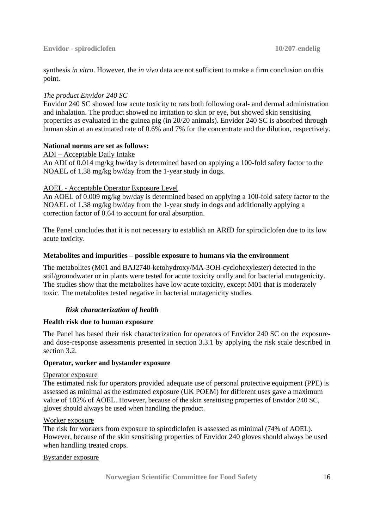synthesis *in vitro*. However, the *in vivo* data are not sufficient to make a firm conclusion on this point.

# *The product Envidor 240 SC*

Envidor 240 SC showed low acute toxicity to rats both following oral- and dermal administration and inhalation. The product showed no irritation to skin or eye, but showed skin sensitising properties as evaluated in the guinea pig (in 20/20 animals). Envidor 240 SC is absorbed through human skin at an estimated rate of 0.6% and 7% for the concentrate and the dilution, respectively.

# **National norms are set as follows:**

ADI – Acceptable Daily Intake

An ADI of 0.014 mg/kg bw/day is determined based on applying a 100-fold safety factor to the NOAEL of 1.38 mg/kg bw/day from the 1-year study in dogs.

# AOEL - Acceptable Operator Exposure Level

An AOEL of 0.009 mg/kg bw/day is determined based on applying a 100-fold safety factor to the NOAEL of 1.38 mg/kg bw/day from the 1-year study in dogs and additionally applying a correction factor of 0.64 to account for oral absorption.

The Panel concludes that it is not necessary to establish an ARfD for spirodiclofen due to its low acute toxicity.

# **Metabolites and impurities – possible exposure to humans via the environment**

The metabolites (M01 and BAJ2740-ketohydroxy/MA-3OH-cyclohexylester) detected in the soil/groundwater or in plants were tested for acute toxicity orally and for bacterial mutagenicity. The studies show that the metabolites have low acute toxicity, except M01 that is moderately toxic. The metabolites tested negative in bacterial mutagenicity studies.

# *Risk characterization of health*

# **Health risk due to human exposure**

The Panel has based their risk characterization for operators of Envidor 240 SC on the exposureand dose-response assessments presented in section 3.3.1 by applying the risk scale described in section 3.2.

# **Operator, worker and bystander exposure**

# Operator exposure

The estimated risk for operators provided adequate use of personal protective equipment (PPE) is assessed as minimal as the estimated exposure (UK POEM) for different uses gave a maximum value of 102% of AOEL. However, because of the skin sensitising properties of Envidor 240 SC, gloves should always be used when handling the product.

# Worker exposure

The risk for workers from exposure to spirodiclofen is assessed as minimal (74% of AOEL). However, because of the skin sensitising properties of Envidor 240 gloves should always be used when handling treated crops.

# Bystander exposure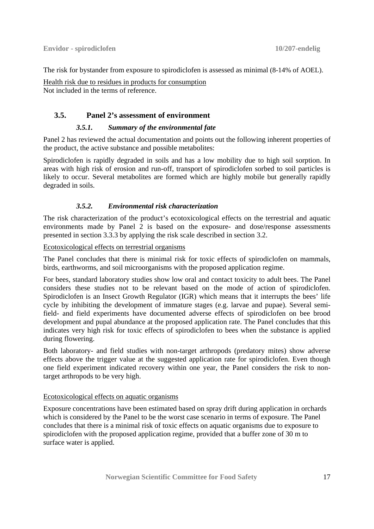The risk for bystander from exposure to spirodiclofen is assessed as minimal (8-14% of AOEL).

Health risk due to residues in products for consumption Not included in the terms of reference.

# **3.5. Panel 2's assessment of environment**

# *3.5.1. Summary of the environmental fate*

Panel 2 has reviewed the actual documentation and points out the following inherent properties of the product, the active substance and possible metabolites:

Spirodiclofen is rapidly degraded in soils and has a low mobility due to high soil sorption. In areas with high risk of erosion and run-off, transport of spirodiclofen sorbed to soil particles is likely to occur. Several metabolites are formed which are highly mobile but generally rapidly degraded in soils.

# *3.5.2. Environmental risk characterization*

The risk characterization of the product's ecotoxicological effects on the terrestrial and aquatic environments made by Panel 2 is based on the exposure- and dose/response assessments presented in section 3.3.3 by applying the risk scale described in section 3.2.

Ecotoxicological effects on terrestrial organisms

The Panel concludes that there is minimal risk for toxic effects of spirodiclofen on mammals, birds, earthworms, and soil microorganisms with the proposed application regime.

For bees, standard laboratory studies show low oral and contact toxicity to adult bees. The Panel considers these studies not to be relevant based on the mode of action of spirodiclofen. Spirodiclofen is an Insect Growth Regulator (IGR) which means that it interrupts the bees' life cycle by inhibiting the development of immature stages (e.g. larvae and pupae). Several semifield- and field experiments have documented adverse effects of spirodiclofen on bee brood development and pupal abundance at the proposed application rate. The Panel concludes that this indicates very high risk for toxic effects of spirodiclofen to bees when the substance is applied during flowering.

Both laboratory- and field studies with non-target arthropods (predatory mites) show adverse effects above the trigger value at the suggested application rate for spirodiclofen. Even though one field experiment indicated recovery within one year, the Panel considers the risk to nontarget arthropods to be very high.

# Ecotoxicological effects on aquatic organisms

Exposure concentrations have been estimated based on spray drift during application in orchards which is considered by the Panel to be the worst case scenario in terms of exposure. The Panel concludes that there is a minimal risk of toxic effects on aquatic organisms due to exposure to spirodiclofen with the proposed application regime, provided that a buffer zone of 30 m to surface water is applied.